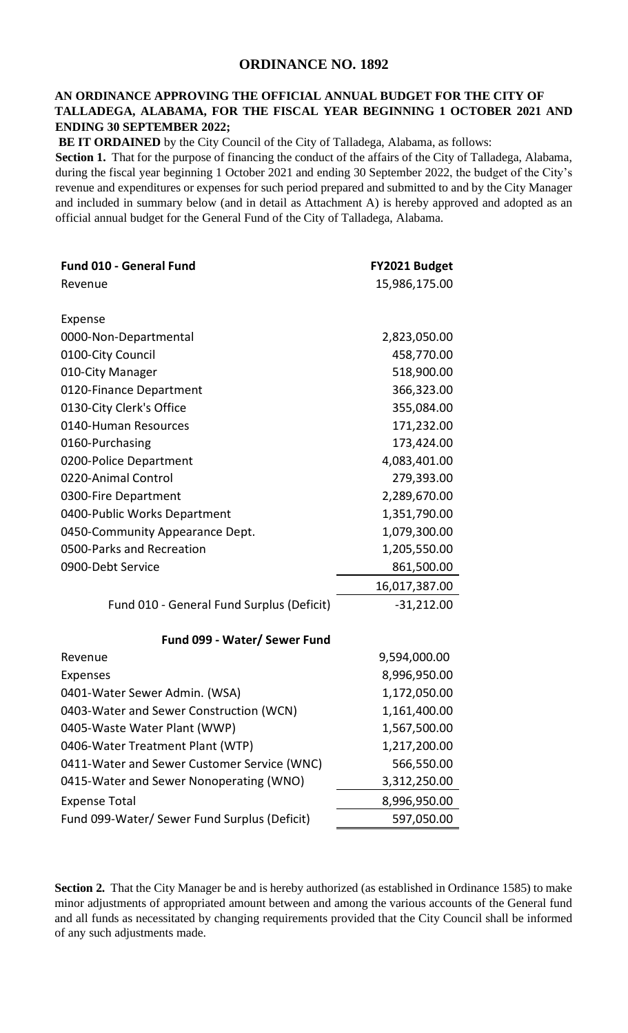## **ORDINANCE NO. 1892**

## **AN ORDINANCE APPROVING THE OFFICIAL ANNUAL BUDGET FOR THE CITY OF TALLADEGA, ALABAMA, FOR THE FISCAL YEAR BEGINNING 1 OCTOBER 2021 AND ENDING 30 SEPTEMBER 2022;**

**BE IT ORDAINED** by the City Council of the City of Talladega, Alabama, as follows:

**Section 1.** That for the purpose of financing the conduct of the affairs of the City of Talladega, Alabama, during the fiscal year beginning 1 October 2021 and ending 30 September 2022, the budget of the City's revenue and expenditures or expenses for such period prepared and submitted to and by the City Manager and included in summary below (and in detail as Attachment A) is hereby approved and adopted as an official annual budget for the General Fund of the City of Talladega, Alabama.

| <b>Fund 010 - General Fund</b>               | FY2021 Budget |
|----------------------------------------------|---------------|
| Revenue                                      | 15,986,175.00 |
|                                              |               |
| Expense                                      |               |
| 0000-Non-Departmental                        | 2,823,050.00  |
| 0100-City Council                            | 458,770.00    |
| 010-City Manager                             | 518,900.00    |
| 0120-Finance Department                      | 366,323.00    |
| 0130-City Clerk's Office                     | 355,084.00    |
| 0140-Human Resources                         | 171,232.00    |
| 0160-Purchasing                              | 173,424.00    |
| 0200-Police Department                       | 4,083,401.00  |
| 0220-Animal Control                          | 279,393.00    |
| 0300-Fire Department                         | 2,289,670.00  |
| 0400-Public Works Department                 | 1,351,790.00  |
| 0450-Community Appearance Dept.              | 1,079,300.00  |
| 0500-Parks and Recreation                    | 1,205,550.00  |
| 0900-Debt Service                            | 861,500.00    |
|                                              | 16,017,387.00 |
| Fund 010 - General Fund Surplus (Deficit)    | $-31,212.00$  |
|                                              |               |
| Fund 099 - Water/ Sewer Fund                 |               |
| Revenue                                      | 9,594,000.00  |
| <b>Expenses</b>                              | 8,996,950.00  |
| 0401-Water Sewer Admin. (WSA)                | 1,172,050.00  |
| 0403-Water and Sewer Construction (WCN)      | 1,161,400.00  |
| 0405-Waste Water Plant (WWP)                 | 1,567,500.00  |
| 0406-Water Treatment Plant (WTP)             | 1,217,200.00  |
| 0411-Water and Sewer Customer Service (WNC)  | 566,550.00    |
| 0415-Water and Sewer Nonoperating (WNO)      | 3,312,250.00  |
| <b>Expense Total</b>                         | 8,996,950.00  |
| Fund 099-Water/ Sewer Fund Surplus (Deficit) | 597,050.00    |

**Section 2.** That the City Manager be and is hereby authorized (as established in Ordinance 1585) to make minor adjustments of appropriated amount between and among the various accounts of the General fund and all funds as necessitated by changing requirements provided that the City Council shall be informed of any such adjustments made.